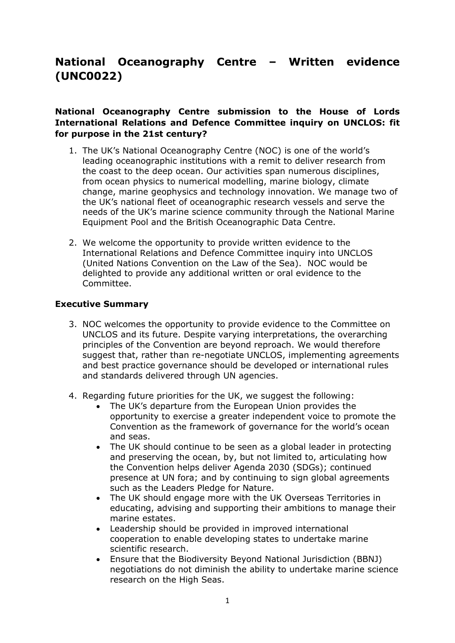# **National Oceanography Centre – Written evidence (UNC0022)**

# **National Oceanography Centre submission to the House of Lords International Relations and Defence Committee inquiry on UNCLOS: fit for purpose in the 21st century?**

- 1. The UK's National Oceanography Centre (NOC) is one of the world's leading oceanographic institutions with a remit to deliver research from the coast to the deep ocean. Our activities span numerous disciplines, from ocean physics to numerical modelling, marine biology, climate change, marine geophysics and technology innovation. We manage two of the UK's national fleet of oceanographic research vessels and serve the needs of the UK's marine science community through the National Marine Equipment Pool and the British Oceanographic Data Centre.
- 2. We welcome the opportunity to provide written evidence to the International Relations and Defence Committee inquiry into UNCLOS (United Nations Convention on the Law of the Sea). NOC would be delighted to provide any additional written or oral evidence to the Committee.

# **Executive Summary**

- 3. NOC welcomes the opportunity to provide evidence to the Committee on UNCLOS and its future. Despite varying interpretations, the overarching principles of the Convention are beyond reproach. We would therefore suggest that, rather than re-negotiate UNCLOS, implementing agreements and best practice governance should be developed or international rules and standards delivered through UN agencies.
- 4. Regarding future priorities for the UK, we suggest the following:
	- The UK's departure from the European Union provides the opportunity to exercise a greater independent voice to promote the Convention as the framework of governance for the world's ocean and seas.
	- The UK should continue to be seen as a global leader in protecting and preserving the ocean, by, but not limited to, articulating how the Convention helps deliver Agenda 2030 (SDGs); continued presence at UN fora; and by continuing to sign global agreements such as the Leaders Pledge for Nature.
	- The UK should engage more with the UK Overseas Territories in educating, advising and supporting their ambitions to manage their marine estates.
	- Leadership should be provided in improved international cooperation to enable developing states to undertake marine scientific research.
	- Ensure that the Biodiversity Beyond National Jurisdiction (BBNJ) negotiations do not diminish the ability to undertake marine science research on the High Seas.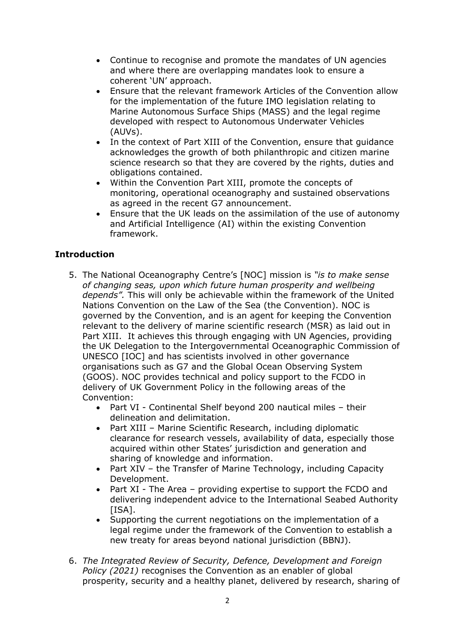- Continue to recognise and promote the mandates of UN agencies and where there are overlapping mandates look to ensure a coherent 'UN' approach.
- Ensure that the relevant framework Articles of the Convention allow for the implementation of the future IMO legislation relating to Marine Autonomous Surface Ships (MASS) and the legal regime developed with respect to Autonomous Underwater Vehicles (AUVs).
- In the context of Part XIII of the Convention, ensure that guidance acknowledges the growth of both philanthropic and citizen marine science research so that they are covered by the rights, duties and obligations contained.
- Within the Convention Part XIII, promote the concepts of monitoring, operational oceanography and sustained observations as agreed in the recent G7 announcement.
- Ensure that the UK leads on the assimilation of the use of autonomy and Artificial Intelligence (AI) within the existing Convention framework.

# **Introduction**

- 5. The National Oceanography Centre's [NOC] mission is *"is to make sense of changing seas, upon which future human prosperity and wellbeing depends".* This will only be achievable within the framework of the United Nations Convention on the Law of the Sea (the Convention). NOC is governed by the Convention, and is an agent for keeping the Convention relevant to the delivery of marine scientific research (MSR) as laid out in Part XIII. It achieves this through engaging with UN Agencies, providing the UK Delegation to the Intergovernmental Oceanographic Commission of UNESCO [IOC] and has scientists involved in other governance organisations such as G7 and the Global Ocean Observing System (GOOS). NOC provides technical and policy support to the FCDO in delivery of UK Government Policy in the following areas of the Convention:
	- Part VI Continental Shelf beyond 200 nautical miles their delineation and delimitation.
	- Part XIII Marine Scientific Research, including diplomatic clearance for research vessels, availability of data, especially those acquired within other States' jurisdiction and generation and sharing of knowledge and information.
	- Part XIV the Transfer of Marine Technology, including Capacity Development.
	- Part XI The Area providing expertise to support the FCDO and delivering independent advice to the International Seabed Authority [ISA].
	- Supporting the current negotiations on the implementation of a legal regime under the framework of the Convention to establish a new treaty for areas beyond national jurisdiction (BBNJ).
- 6. *The Integrated Review of Security, Defence, Development and Foreign Policy (2021)* recognises the Convention as an enabler of global prosperity, security and a healthy planet, delivered by research, sharing of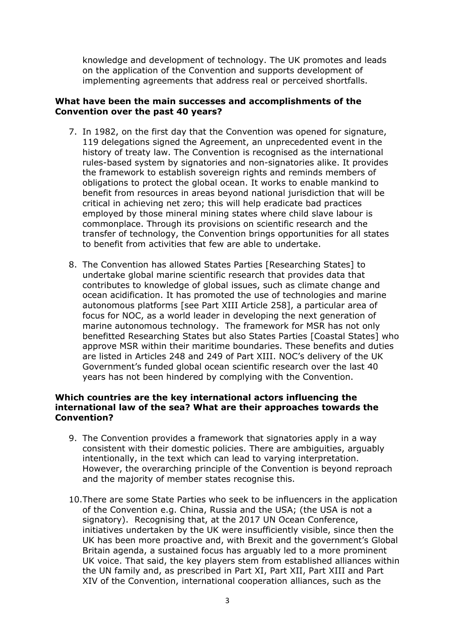knowledge and development of technology. The UK promotes and leads on the application of the Convention and supports development of implementing agreements that address real or perceived shortfalls.

# **What have been the main successes and accomplishments of the Convention over the past 40 years?**

- 7. In 1982, on the first day that the Convention was opened for signature, 119 delegations signed the Agreement, an unprecedented event in the history of treaty law. The Convention is recognised as the international rules-based system by signatories and non-signatories alike. It provides the framework to establish sovereign rights and reminds members of obligations to protect the global ocean. It works to enable mankind to benefit from resources in areas beyond national jurisdiction that will be critical in achieving net zero; this will help eradicate bad practices employed by those mineral mining states where child slave labour is commonplace. Through its provisions on scientific research and the transfer of technology, the Convention brings opportunities for all states to benefit from activities that few are able to undertake.
- 8. The Convention has allowed States Parties [Researching States] to undertake global marine scientific research that provides data that contributes to knowledge of global issues, such as climate change and ocean acidification. It has promoted the use of technologies and marine autonomous platforms [see Part XIII Article 258], a particular area of focus for NOC, as a world leader in developing the next generation of marine autonomous technology. The framework for MSR has not only benefitted Researching States but also States Parties [Coastal States] who approve MSR within their maritime boundaries. These benefits and duties are listed in Articles 248 and 249 of Part XIII. NOC's delivery of the UK Government's funded global ocean scientific research over the last 40 years has not been hindered by complying with the Convention.

#### **Which countries are the key international actors influencing the international law of the sea? What are their approaches towards the Convention?**

- 9. The Convention provides a framework that signatories apply in a way consistent with their domestic policies. There are ambiguities, arguably intentionally, in the text which can lead to varying interpretation. However, the overarching principle of the Convention is beyond reproach and the majority of member states recognise this.
- 10.There are some State Parties who seek to be influencers in the application of the Convention e.g. China, Russia and the USA; (the USA is not a signatory). Recognising that, at the 2017 UN Ocean Conference, initiatives undertaken by the UK were insufficiently visible, since then the UK has been more proactive and, with Brexit and the government's Global Britain agenda, a sustained focus has arguably led to a more prominent UK voice. That said, the key players stem from established alliances within the UN family and, as prescribed in Part XI, Part XII, Part XIII and Part XIV of the Convention, international cooperation alliances, such as the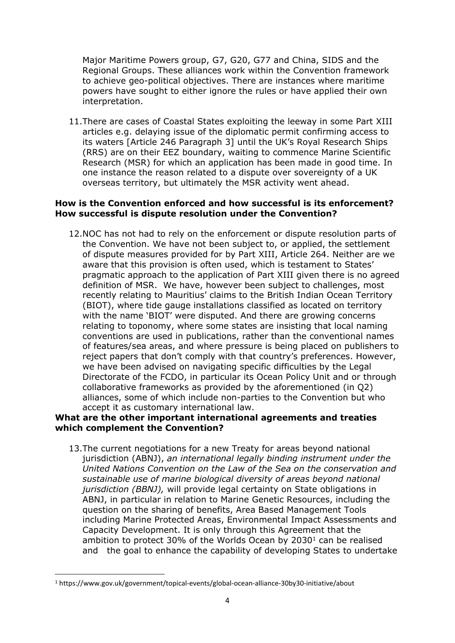Major Maritime Powers group, G7, G20, G77 and China, SIDS and the Regional Groups. These alliances work within the Convention framework to achieve geo-political objectives. There are instances where maritime powers have sought to either ignore the rules or have applied their own interpretation.

11.There are cases of Coastal States exploiting the leeway in some Part XIII articles e.g. delaying issue of the diplomatic permit confirming access to its waters [Article 246 Paragraph 3] until the UK's Royal Research Ships (RRS) are on their EEZ boundary, waiting to commence Marine Scientific Research (MSR) for which an application has been made in good time. In one instance the reason related to a dispute over sovereignty of a UK overseas territory, but ultimately the MSR activity went ahead.

# **How is the Convention enforced and how successful is its enforcement? How successful is dispute resolution under the Convention?**

12.NOC has not had to rely on the enforcement or dispute resolution parts of the Convention. We have not been subject to, or applied, the settlement of dispute measures provided for by Part XIII, Article 264. Neither are we aware that this provision is often used, which is testament to States' pragmatic approach to the application of Part XIII given there is no agreed definition of MSR. We have, however been subject to challenges, most recently relating to Mauritius' claims to the British Indian Ocean Territory (BIOT), where tide gauge installations classified as located on territory with the name 'BIOT' were disputed. And there are growing concerns relating to toponomy, where some states are insisting that local naming conventions are used in publications, rather than the conventional names of features/sea areas, and where pressure is being placed on publishers to reject papers that don't comply with that country's preferences. However, we have been advised on navigating specific difficulties by the Legal Directorate of the FCDO, in particular its Ocean Policy Unit and or through collaborative frameworks as provided by the aforementioned (in Q2) alliances, some of which include non-parties to the Convention but who accept it as customary international law.

# **What are the other important international agreements and treaties which complement the Convention?**

13.The current negotiations for a new Treaty for areas beyond national jurisdiction (ABNJ), *an international legally binding instrument under the United Nations Convention on the Law of the Sea on the conservation and sustainable use of marine biological diversity of areas beyond national jurisdiction (BBNJ),* will provide legal certainty on State obligations in ABNJ, in particular in relation to Marine Genetic Resources, including the question on the sharing of benefits, Area Based Management Tools including Marine Protected Areas, Environmental Impact Assessments and Capacity Development. It is only through this Agreement that the ambition to protect 30% of the Worlds Ocean by  $2030<sup>1</sup>$  can be realised and the goal to enhance the capability of developing States to undertake

<sup>1</sup> https://www.gov.uk/government/topical-events/global-ocean-alliance-30by30-initiative/about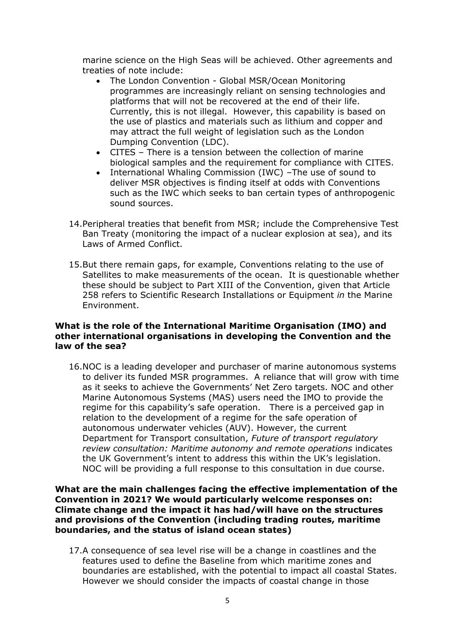marine science on the High Seas will be achieved. Other agreements and treaties of note include:

- The London Convention Global MSR/Ocean Monitoring programmes are increasingly reliant on sensing technologies and platforms that will not be recovered at the end of their life. Currently, this is not illegal. However, this capability is based on the use of plastics and materials such as lithium and copper and may attract the full weight of legislation such as the London Dumping Convention (LDC).
- CITES There is a tension between the collection of marine biological samples and the requirement for compliance with CITES.
- International Whaling Commission (IWC) –The use of sound to deliver MSR objectives is finding itself at odds with Conventions such as the IWC which seeks to ban certain types of anthropogenic sound sources.
- 14.Peripheral treaties that benefit from MSR; include the Comprehensive Test Ban Treaty (monitoring the impact of a nuclear explosion at sea), and its Laws of Armed Conflict.
- 15.But there remain gaps, for example, Conventions relating to the use of Satellites to make measurements of the ocean. It is questionable whether these should be subject to Part XIII of the Convention, given that Article 258 refers to Scientific Research Installations or Equipment *in* the Marine Environment.

#### **What is the role of the International Maritime Organisation (IMO) and other international organisations in developing the Convention and the law of the sea?**

16.NOC is a leading developer and purchaser of marine autonomous systems to deliver its funded MSR programmes. A reliance that will grow with time as it seeks to achieve the Governments' Net Zero targets. NOC and other Marine Autonomous Systems (MAS) users need the IMO to provide the regime for this capability's safe operation. There is a perceived gap in relation to the development of a regime for the safe operation of autonomous underwater vehicles (AUV). However, the current Department for Transport consultation, *Future of transport regulatory review consultation: Maritime autonomy and remote operations* indicates the UK Government's intent to address this within the UK's legislation. NOC will be providing a full response to this consultation in due course.

**What are the main challenges facing the effective implementation of the Convention in 2021? We would particularly welcome responses on: Climate change and the impact it has had/will have on the structures and provisions of the Convention (including trading routes, maritime boundaries, and the status of island ocean states)**

17.A consequence of sea level rise will be a change in coastlines and the features used to define the Baseline from which maritime zones and boundaries are established, with the potential to impact all coastal States. However we should consider the impacts of coastal change in those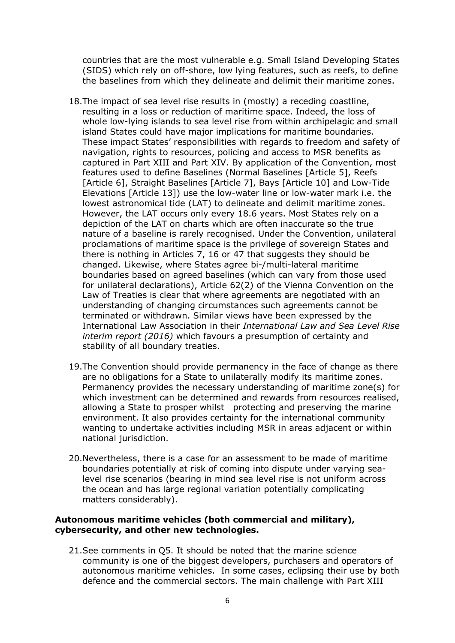countries that are the most vulnerable e.g. Small Island Developing States (SIDS) which rely on off-shore, low lying features, such as reefs, to define the baselines from which they delineate and delimit their maritime zones.

- 18.The impact of sea level rise results in (mostly) a receding coastline, resulting in a loss or reduction of maritime space. Indeed, the loss of whole low-lying islands to sea level rise from within archipelagic and small island States could have major implications for maritime boundaries. These impact States' responsibilities with regards to freedom and safety of navigation, rights to resources, policing and access to MSR benefits as captured in Part XIII and Part XIV. By application of the Convention, most features used to define Baselines (Normal Baselines [Article 5], Reefs [Article 6], Straight Baselines [Article 7], Bays [Article 10] and Low-Tide Elevations [Article 13]) use the low-water line or low-water mark i.e. the lowest astronomical tide (LAT) to delineate and delimit maritime zones. However, the LAT occurs only every 18.6 years. Most States rely on a depiction of the LAT on charts which are often inaccurate so the true nature of a baseline is rarely recognised. Under the Convention, unilateral proclamations of maritime space is the privilege of sovereign States and there is nothing in Articles 7, 16 or 47 that suggests they should be changed. Likewise, where States agree bi-/multi-lateral maritime boundaries based on agreed baselines (which can vary from those used for unilateral declarations), Article 62(2) of the Vienna Convention on the Law of Treaties is clear that where agreements are negotiated with an understanding of changing circumstances such agreements cannot be terminated or withdrawn. Similar views have been expressed by the International Law Association in their *International Law and Sea Level Rise interim report (2016)* which favours a presumption of certainty and stability of all boundary treaties.
- 19.The Convention should provide permanency in the face of change as there are no obligations for a State to unilaterally modify its maritime zones. Permanency provides the necessary understanding of maritime zone(s) for which investment can be determined and rewards from resources realised, allowing a State to prosper whilst protecting and preserving the marine environment. It also provides certainty for the international community wanting to undertake activities including MSR in areas adjacent or within national jurisdiction.
- 20.Nevertheless, there is a case for an assessment to be made of maritime boundaries potentially at risk of coming into dispute under varying sealevel rise scenarios (bearing in mind sea level rise is not uniform across the ocean and has large regional variation potentially complicating matters considerably).

# **Autonomous maritime vehicles (both commercial and military), cybersecurity, and other new technologies.**

21.See comments in Q5. It should be noted that the marine science community is one of the biggest developers, purchasers and operators of autonomous maritime vehicles. In some cases, eclipsing their use by both defence and the commercial sectors. The main challenge with Part XIII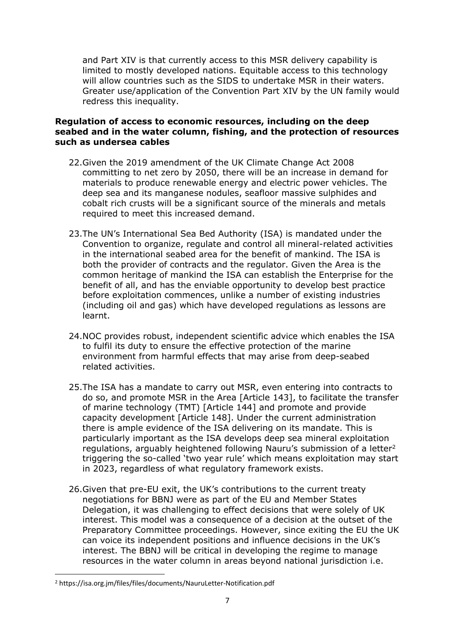and Part XIV is that currently access to this MSR delivery capability is limited to mostly developed nations. Equitable access to this technology will allow countries such as the SIDS to undertake MSR in their waters. Greater use/application of the Convention Part XIV by the UN family would redress this inequality.

#### **Regulation of access to economic resources, including on the deep seabed and in the water column, fishing, and the protection of resources such as undersea cables**

- 22.Given the 2019 amendment of the UK Climate Change Act 2008 committing to net zero by 2050, there will be an increase in demand for materials to produce renewable energy and electric power vehicles. The deep sea and its manganese nodules, seafloor massive sulphides and cobalt rich crusts will be a significant source of the minerals and metals required to meet this increased demand.
- 23.The UN's International Sea Bed Authority (ISA) is mandated under the Convention to organize, regulate and control all mineral-related activities in the international seabed area for the benefit of mankind. The ISA is both the provider of contracts and the regulator. Given the Area is the common heritage of mankind the ISA can establish the Enterprise for the benefit of all, and has the enviable opportunity to develop best practice before exploitation commences, unlike a number of existing industries (including oil and gas) which have developed regulations as lessons are learnt.
- 24.NOC provides robust, independent scientific advice which enables the ISA to fulfil its duty to ensure the effective protection of the marine environment from harmful effects that may arise from deep-seabed related activities.
- 25.The ISA has a mandate to carry out MSR, even entering into contracts to do so, and promote MSR in the Area [Article 143], to facilitate the transfer of marine technology (TMT) [Article 144] and promote and provide capacity development [Article 148]. Under the current administration there is ample evidence of the ISA delivering on its mandate. This is particularly important as the ISA develops deep sea mineral exploitation regulations, arguably heightened following Nauru's submission of a letter<sup>2</sup> triggering the so-called 'two year rule' which means exploitation may start in 2023, regardless of what regulatory framework exists.
- 26.Given that pre-EU exit, the UK's contributions to the current treaty negotiations for BBNJ were as part of the EU and Member States Delegation, it was challenging to effect decisions that were solely of UK interest. This model was a consequence of a decision at the outset of the Preparatory Committee proceedings. However, since exiting the EU the UK can voice its independent positions and influence decisions in the UK's interest. The BBNJ will be critical in developing the regime to manage resources in the water column in areas beyond national jurisdiction i.e.

<sup>2</sup> https://isa.org.jm/files/files/documents/NauruLetter-Notification.pdf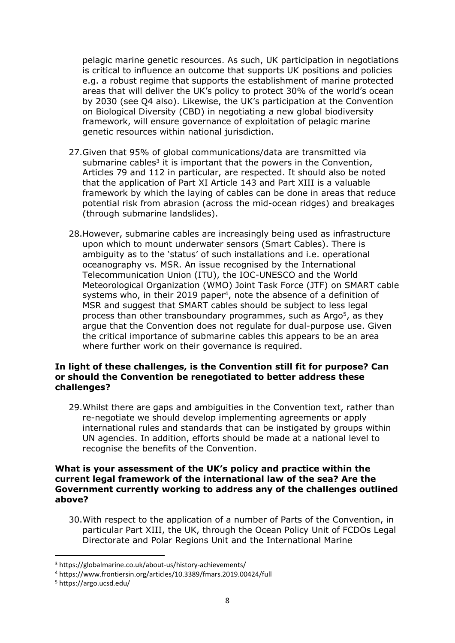pelagic marine genetic resources. As such, UK participation in negotiations is critical to influence an outcome that supports UK positions and policies e.g. a robust regime that supports the establishment of marine protected areas that will deliver the UK's policy to protect 30% of the world's ocean by 2030 (see Q4 also). Likewise, the UK's participation at the Convention on Biological Diversity (CBD) in negotiating a new global biodiversity framework, will ensure governance of exploitation of pelagic marine genetic resources within national jurisdiction.

- 27.Given that 95% of global communications/data are transmitted via submarine cables<sup>3</sup> it is important that the powers in the Convention, Articles 79 and 112 in particular, are respected. It should also be noted that the application of Part XI Article 143 and Part XIII is a valuable framework by which the laying of cables can be done in areas that reduce potential risk from abrasion (across the mid-ocean ridges) and breakages (through submarine landslides).
- 28.However, submarine cables are increasingly being used as infrastructure upon which to mount underwater sensors (Smart Cables). There is ambiguity as to the 'status' of such installations and i.e. operational oceanography vs. MSR. An issue recognised by the International Telecommunication Union (ITU), the IOC-UNESCO and the World Meteorological Organization (WMO) Joint Task Force (JTF) on SMART cable systems who, in their 2019 paper<sup>4</sup>, note the absence of a definition of MSR and suggest that SMART cables should be subject to less legal process than other transboundary programmes, such as Argo<sup>5</sup>, as they argue that the Convention does not regulate for dual-purpose use. Given the critical importance of submarine cables this appears to be an area where further work on their governance is required.

#### **In light of these challenges, is the Convention still fit for purpose? Can or should the Convention be renegotiated to better address these challenges?**

29.Whilst there are gaps and ambiguities in the Convention text, rather than re-negotiate we should develop implementing agreements or apply international rules and standards that can be instigated by groups within UN agencies. In addition, efforts should be made at a national level to recognise the benefits of the Convention.

#### **What is your assessment of the UK's policy and practice within the current legal framework of the international law of the sea? Are the Government currently working to address any of the challenges outlined above?**

30.With respect to the application of a number of Parts of the Convention, in particular Part XIII, the UK, through the Ocean Policy Unit of FCDOs Legal Directorate and Polar Regions Unit and the International Marine

<sup>3</sup> https://globalmarine.co.uk/about-us/history-achievements/

<sup>4</sup> https://www.frontiersin.org/articles/10.3389/fmars.2019.00424/full

<sup>5</sup> https://argo.ucsd.edu/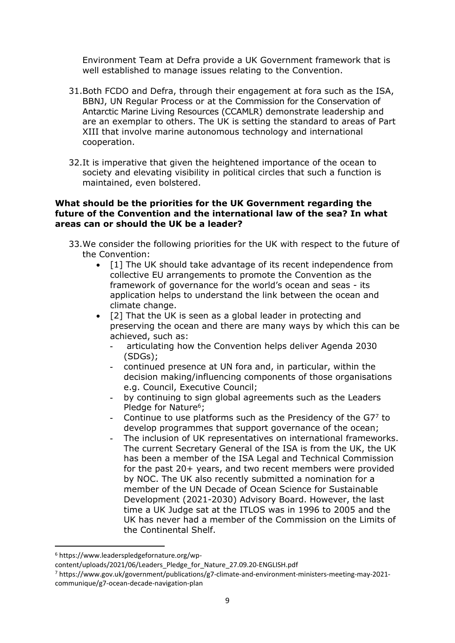Environment Team at Defra provide a UK Government framework that is well established to manage issues relating to the Convention.

- 31.Both FCDO and Defra, through their engagement at fora such as the ISA, BBNJ, UN Regular Process or at the Commission for the Conservation of Antarctic Marine Living Resources (CCAMLR) demonstrate leadership and are an exemplar to others. The UK is setting the standard to areas of Part XIII that involve marine autonomous technology and international cooperation.
- 32.It is imperative that given the heightened importance of the ocean to society and elevating visibility in political circles that such a function is maintained, even bolstered.

# **What should be the priorities for the UK Government regarding the future of the Convention and the international law of the sea? In what areas can or should the UK be a leader?**

- 33.We consider the following priorities for the UK with respect to the future of the Convention:
	- [1] The UK should take advantage of its recent independence from collective EU arrangements to promote the Convention as the framework of governance for the world's ocean and seas - its application helps to understand the link between the ocean and climate change.
	- [2] That the UK is seen as a global leader in protecting and preserving the ocean and there are many ways by which this can be achieved, such as:
		- articulating how the Convention helps deliver Agenda 2030 (SDGs);
		- continued presence at UN fora and, in particular, within the decision making/influencing components of those organisations e.g. Council, Executive Council;
		- by continuing to sign global agreements such as the Leaders Pledge for Nature<sup>6</sup>;
		- Continue to use platforms such as the Presidency of the G7<sup>7</sup> to develop programmes that support governance of the ocean;
		- The inclusion of UK representatives on international frameworks. The current Secretary General of the ISA is from the UK, the UK has been a member of the ISA Legal and Technical Commission for the past 20+ years, and two recent members were provided by NOC. The UK also recently submitted a nomination for a member of the UN Decade of Ocean Science for Sustainable Development (2021-2030) Advisory Board. However, the last time a UK Judge sat at the ITLOS was in 1996 to 2005 and the UK has never had a member of the Commission on the Limits of the Continental Shelf.

<sup>6</sup> https://www.leaderspledgefornature.org/wp-

content/uploads/2021/06/Leaders\_Pledge\_for\_Nature\_27.09.20-ENGLISH.pdf

<sup>7</sup> https://www.gov.uk/government/publications/g7-climate-and-environment-ministers-meeting-may-2021 communique/g7-ocean-decade-navigation-plan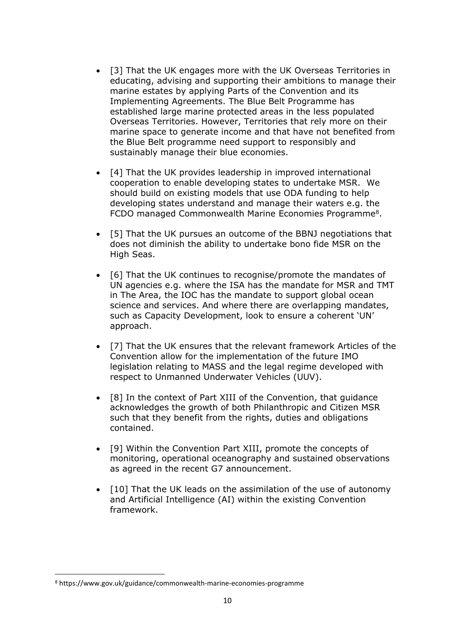- [3] That the UK engages more with the UK Overseas Territories in educating, advising and supporting their ambitions to manage their marine estates by applying Parts of the Convention and its Implementing Agreements. The Blue Belt Programme has established large marine protected areas in the less populated Overseas Territories. However, Territories that rely more on their marine space to generate income and that have not benefited from the Blue Belt programme need support to responsibly and sustainably manage their blue economies.
- [4] That the UK provides leadership in improved international cooperation to enable developing states to undertake MSR. We should build on existing models that use ODA funding to help developing states understand and manage their waters e.g. the FCDO managed Commonwealth Marine Economies Programme<sup>8</sup>.
- [5] That the UK pursues an outcome of the BBNJ negotiations that does not diminish the ability to undertake bono fide MSR on the High Seas.
- [6] That the UK continues to recognise/promote the mandates of UN agencies e.g. where the ISA has the mandate for MSR and TMT in The Area, the IOC has the mandate to support global ocean science and services. And where there are overlapping mandates, such as Capacity Development, look to ensure a coherent 'UN' approach.
- [7] That the UK ensures that the relevant framework Articles of the Convention allow for the implementation of the future IMO legislation relating to MASS and the legal regime developed with respect to Unmanned Underwater Vehicles (UUV).
- [8] In the context of Part XIII of the Convention, that guidance acknowledges the growth of both Philanthropic and Citizen MSR such that they benefit from the rights, duties and obligations contained.
- [9] Within the Convention Part XIII, promote the concepts of monitoring, operational oceanography and sustained observations as agreed in the recent G7 announcement.
- [10] That the UK leads on the assimilation of the use of autonomy and Artificial Intelligence (AI) within the existing Convention framework.

<sup>8</sup> https://www.gov.uk/guidance/commonwealth-marine-economies-programme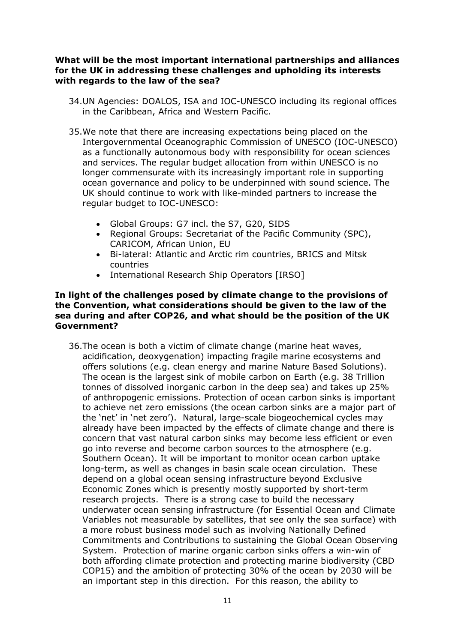#### **What will be the most important international partnerships and alliances for the UK in addressing these challenges and upholding its interests with regards to the law of the sea?**

- 34.UN Agencies: DOALOS, ISA and IOC-UNESCO including its regional offices in the Caribbean, Africa and Western Pacific.
- 35.We note that there are increasing expectations being placed on the Intergovernmental Oceanographic Commission of UNESCO (IOC-UNESCO) as a functionally autonomous body with responsibility for ocean sciences and services. The regular budget allocation from within UNESCO is no longer commensurate with its increasingly important role in supporting ocean governance and policy to be underpinned with sound science. The UK should continue to work with like-minded partners to increase the regular budget to IOC-UNESCO:
	- Global Groups: G7 incl. the S7, G20, SIDS
	- Regional Groups: Secretariat of the Pacific Community (SPC), CARICOM, African Union, EU
	- Bi-lateral: Atlantic and Arctic rim countries, BRICS and Mitsk countries
	- International Research Ship Operators [IRSO]

#### **In light of the challenges posed by climate change to the provisions of the Convention, what considerations should be given to the law of the sea during and after COP26, and what should be the position of the UK Government?**

36.The ocean is both a victim of climate change (marine heat waves, acidification, deoxygenation) impacting fragile marine ecosystems and offers solutions (e.g. clean energy and marine Nature Based Solutions). The ocean is the largest sink of mobile carbon on Earth (e.g. 38 Trillion tonnes of dissolved inorganic carbon in the deep sea) and takes up 25% of anthropogenic emissions. Protection of ocean carbon sinks is important to achieve net zero emissions (the ocean carbon sinks are a major part of the 'net' in 'net zero'). Natural, large-scale biogeochemical cycles may already have been impacted by the effects of climate change and there is concern that vast natural carbon sinks may become less efficient or even go into reverse and become carbon sources to the atmosphere (e.g. Southern Ocean). It will be important to monitor ocean carbon uptake long-term, as well as changes in basin scale ocean circulation. These depend on a global ocean sensing infrastructure beyond Exclusive Economic Zones which is presently mostly supported by short-term research projects. There is a strong case to build the necessary underwater ocean sensing infrastructure (for Essential Ocean and Climate Variables not measurable by satellites, that see only the sea surface) with a more robust business model such as involving Nationally Defined Commitments and Contributions to sustaining the Global Ocean Observing System. Protection of marine organic carbon sinks offers a win-win of both affording climate protection and protecting marine biodiversity (CBD COP15) and the ambition of protecting 30% of the ocean by 2030 will be an important step in this direction. For this reason, the ability to